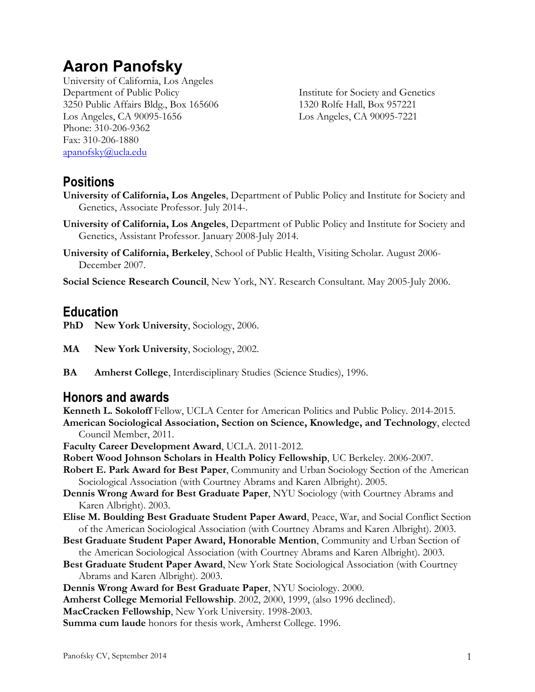# **Aaron Panofsky**

University of California, Los Angeles Department of Public Policy Institute for Society and Genetics 3250 Public Affairs Bldg., Box 165606 1320 Rolfe Hall, Box 957221 Los Angeles, CA 90095-1656 Los Angeles, CA 90095-7221 Phone: 310-206-9362 Fax: 310-206-1880 apanofsky@ucla.edu

### **Positions**

- **University of California, Los Angeles**, Department of Public Policy and Institute for Society and Genetics, Associate Professor. July 2014-.
- **University of California, Los Angeles**, Department of Public Policy and Institute for Society and Genetics, Assistant Professor. January 2008-July 2014.
- **University of California, Berkeley**, School of Public Health, Visiting Scholar. August 2006- December 2007.
- **Social Science Research Council**, New York, NY. Research Consultant. May 2005-July 2006.

## **Education**

- **PhD New York University**, Sociology, 2006.
- **MA New York University**, Sociology, 2002.
- **BA Amherst College**, Interdisciplinary Studies (Science Studies), 1996.

### **Honors and awards**

**Kenneth L. Sokoloff** Fellow, UCLA Center for American Politics and Public Policy. 2014-2015.

**American Sociological Association, Section on Science, Knowledge, and Technology**, elected Council Member, 2011.

**Faculty Career Development Award**, UCLA. 2011-2012.

- **Robert Wood Johnson Scholars in Health Policy Fellowship**, UC Berkeley. 2006-2007.
- **Robert E. Park Award for Best Paper**, Community and Urban Sociology Section of the American Sociological Association (with Courtney Abrams and Karen Albright). 2005.
- **Dennis Wrong Award for Best Graduate Paper**, NYU Sociology (with Courtney Abrams and Karen Albright). 2003.
- **Elise M. Boulding Best Graduate Student Paper Award**, Peace, War, and Social Conflict Section of the American Sociological Association (with Courtney Abrams and Karen Albright). 2003.
- **Best Graduate Student Paper Award, Honorable Mention**, Community and Urban Section of the American Sociological Association (with Courtney Abrams and Karen Albright). 2003.
- **Best Graduate Student Paper Award**, New York State Sociological Association (with Courtney Abrams and Karen Albright). 2003.
- **Dennis Wrong Award for Best Graduate Paper**, NYU Sociology. 2000.
- **Amherst College Memorial Fellowship**. 2002, 2000, 1999, (also 1996 declined).
- **MacCracken Fellowship**, New York University. 1998-2003.

**Summa cum laude** honors for thesis work, Amherst College. 1996.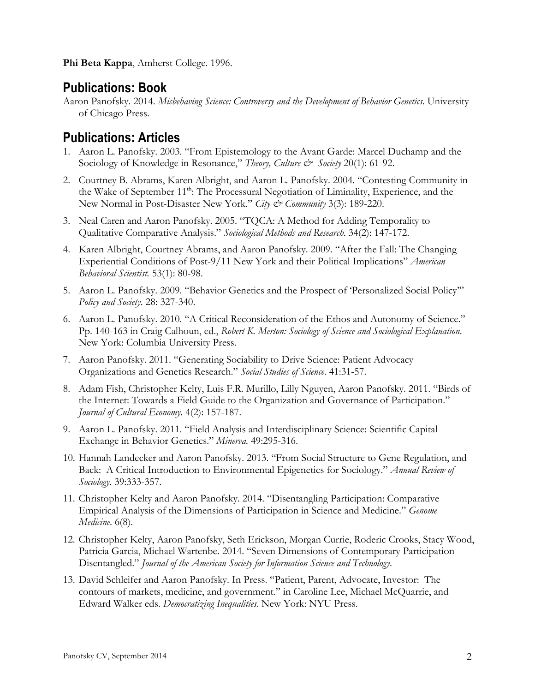**Phi Beta Kappa**, Amherst College. 1996.

### **Publications: Book**

Aaron Panofsky. 2014. *Misbehaving Science: Controversy and the Development of Behavior Genetics*. University of Chicago Press.

# **Publications: Articles**

- 1. Aaron L. Panofsky. 2003. "From Epistemology to the Avant Garde: Marcel Duchamp and the Sociology of Knowledge in Resonance," *Theory, Culture & Society* 20(1): 61-92.
- 2. Courtney B. Abrams, Karen Albright, and Aaron L. Panofsky. 2004. "Contesting Community in the Wake of September 11<sup>th</sup>: The Processural Negotiation of Liminality, Experience, and the New Normal in Post-Disaster New York." *City & Community* 3(3): 189-220.
- 3. Neal Caren and Aaron Panofsky. 2005. "TQCA: A Method for Adding Temporality to Qualitative Comparative Analysis." *Sociological Methods and Research*. 34(2): 147-172.
- 4. Karen Albright, Courtney Abrams, and Aaron Panofsky. 2009. "After the Fall: The Changing Experiential Conditions of Post-9/11 New York and their Political Implications" *American Behavioral Scientist.* 53(1): 80-98.
- 5. Aaron L. Panofsky. 2009. "Behavior Genetics and the Prospect of 'Personalized Social Policy'" *Policy and Society*. 28: 327-340.
- 6. Aaron L. Panofsky. 2010. "A Critical Reconsideration of the Ethos and Autonomy of Science." Pp. 140-163 in Craig Calhoun, ed., *Robert K. Merton: Sociology of Science and Sociological Explanation*. New York: Columbia University Press.
- 7. Aaron Panofsky. 2011. "Generating Sociability to Drive Science: Patient Advocacy Organizations and Genetics Research." *Social Studies of Science*. 41:31-57.
- 8. Adam Fish, Christopher Kelty, Luis F.R. Murillo, Lilly Nguyen, Aaron Panofsky. 2011. "Birds of the Internet: Towards a Field Guide to the Organization and Governance of Participation." *Journal of Cultural Economy*. 4(2): 157-187.
- 9. Aaron L. Panofsky. 2011. "Field Analysis and Interdisciplinary Science: Scientific Capital Exchange in Behavior Genetics." *Minerva.* 49:295-316.
- 10. Hannah Landecker and Aaron Panofsky. 2013. "From Social Structure to Gene Regulation, and Back: A Critical Introduction to Environmental Epigenetics for Sociology." *Annual Review of Sociology*. 39:333-357.
- 11. Christopher Kelty and Aaron Panofsky. 2014. "Disentangling Participation: Comparative Empirical Analysis of the Dimensions of Participation in Science and Medicine." *Genome Medicine*. 6(8).
- 12. Christopher Kelty, Aaron Panofsky, Seth Erickson, Morgan Currie, Roderic Crooks, Stacy Wood, Patricia Garcia, Michael Wartenbe. 2014. "Seven Dimensions of Contemporary Participation Disentangled." *Journal of the American Society for Information Science and Technology*.
- 13. David Schleifer and Aaron Panofsky. In Press. "Patient, Parent, Advocate, Investor: The contours of markets, medicine, and government." in Caroline Lee, Michael McQuarrie, and Edward Walker eds. *Democratizing Inequalities*. New York: NYU Press.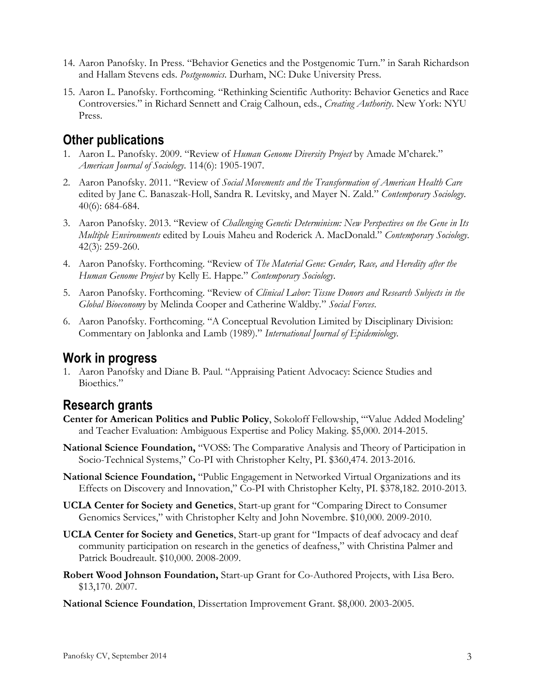- 14. Aaron Panofsky. In Press. "Behavior Genetics and the Postgenomic Turn." in Sarah Richardson and Hallam Stevens eds. *Postgenomics*. Durham, NC: Duke University Press.
- 15. Aaron L. Panofsky. Forthcoming. "Rethinking Scientific Authority: Behavior Genetics and Race Controversies." in Richard Sennett and Craig Calhoun, eds., *Creating Authority*. New York: NYU Press.

# **Other publications**

- 1. Aaron L. Panofsky. 2009. "Review of *Human Genome Diversity Project* by Amade M'charek." *American Journal of Sociology*. 114(6): 1905-1907.
- 2. Aaron Panofsky. 2011. "Review of *Social Movements and the Transformation of American Health Care* edited by Jane C. Banaszak-Holl, Sandra R. Levitsky, and Mayer N. Zald." *Contemporary Sociology*. 40(6): 684-684.
- 3. Aaron Panofsky. 2013. "Review of *Challenging Genetic Determinism: New Perspectives on the Gene in Its Multiple Environments* edited by Louis Maheu and Roderick A. MacDonald." *Contemporary Sociology*. 42(3): 259-260.
- 4. Aaron Panofsky. Forthcoming. "Review of *The Material Gene: Gender, Race, and Heredity after the Human Genome Project* by Kelly E. Happe." *Contemporary Sociology*.
- 5. Aaron Panofsky. Forthcoming. "Review of *Clinical Labor: Tissue Donors and Research Subjects in the Global Bioeconomy* by Melinda Cooper and Catherine Waldby*.*" *Social Forces*.
- 6. Aaron Panofsky. Forthcoming. "A Conceptual Revolution Limited by Disciplinary Division: Commentary on Jablonka and Lamb (1989)." *International Journal of Epidemiology.*

### **Work in progress**

1. Aaron Panofsky and Diane B. Paul. "Appraising Patient Advocacy: Science Studies and Bioethics."

# **Research grants**

- **Center for American Politics and Public Policy**, Sokoloff Fellowship, "'Value Added Modeling' and Teacher Evaluation: Ambiguous Expertise and Policy Making. \$5,000. 2014-2015.
- **National Science Foundation,** "VOSS: The Comparative Analysis and Theory of Participation in Socio-Technical Systems," Co-PI with Christopher Kelty, PI. \$360,474. 2013-2016.
- **National Science Foundation,** "Public Engagement in Networked Virtual Organizations and its Effects on Discovery and Innovation," Co-PI with Christopher Kelty, PI. \$378,182. 2010-2013.
- **UCLA Center for Society and Genetics**, Start-up grant for "Comparing Direct to Consumer Genomics Services," with Christopher Kelty and John Novembre. \$10,000. 2009-2010.
- **UCLA Center for Society and Genetics**, Start-up grant for "Impacts of deaf advocacy and deaf community participation on research in the genetics of deafness," with Christina Palmer and Patrick Boudreault. \$10,000. 2008-2009.
- **Robert Wood Johnson Foundation,** Start-up Grant for Co-Authored Projects, with Lisa Bero. \$13,170. 2007.

**National Science Foundation**, Dissertation Improvement Grant. \$8,000. 2003-2005.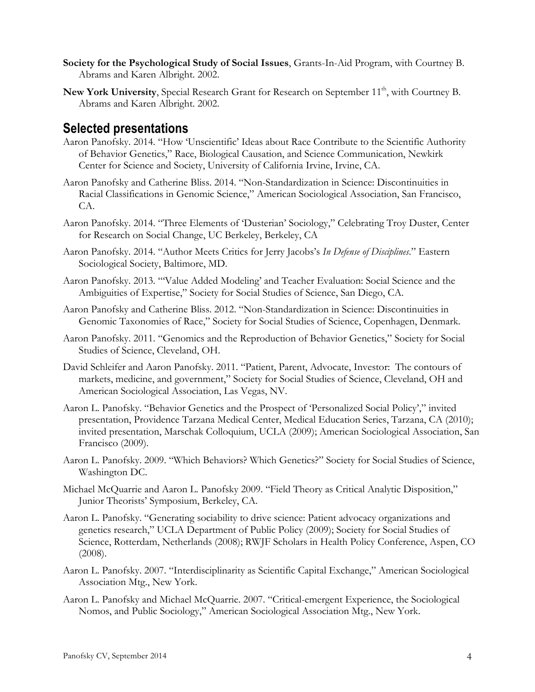- **Society for the Psychological Study of Social Issues**, Grants-In-Aid Program, with Courtney B. Abrams and Karen Albright. 2002.
- New York University, Special Research Grant for Research on September 11<sup>th</sup>, with Courtney B. Abrams and Karen Albright. 2002.

### **Selected presentations**

- Aaron Panofsky. 2014. "How 'Unscientific' Ideas about Race Contribute to the Scientific Authority of Behavior Genetics," Race, Biological Causation, and Science Communication, Newkirk Center for Science and Society, University of California Irvine, Irvine, CA.
- Aaron Panofsky and Catherine Bliss. 2014. "Non-Standardization in Science: Discontinuities in Racial Classifications in Genomic Science," American Sociological Association, San Francisco, CA.
- Aaron Panofsky. 2014. "Three Elements of 'Dusterian' Sociology," Celebrating Troy Duster, Center for Research on Social Change, UC Berkeley, Berkeley, CA
- Aaron Panofsky. 2014. "Author Meets Critics for Jerry Jacobs's *In Defense of Disciplines*." Eastern Sociological Society, Baltimore, MD.
- Aaron Panofsky. 2013. "'Value Added Modeling' and Teacher Evaluation: Social Science and the Ambiguities of Expertise," Society for Social Studies of Science, San Diego, CA.
- Aaron Panofsky and Catherine Bliss. 2012. "Non-Standardization in Science: Discontinuities in Genomic Taxonomies of Race," Society for Social Studies of Science, Copenhagen, Denmark.
- Aaron Panofsky. 2011. "Genomics and the Reproduction of Behavior Genetics," Society for Social Studies of Science, Cleveland, OH.
- David Schleifer and Aaron Panofsky. 2011. "Patient, Parent, Advocate, Investor: The contours of markets, medicine, and government," Society for Social Studies of Science, Cleveland, OH and American Sociological Association, Las Vegas, NV.
- Aaron L. Panofsky. "Behavior Genetics and the Prospect of 'Personalized Social Policy'," invited presentation, Providence Tarzana Medical Center, Medical Education Series, Tarzana, CA (2010); invited presentation, Marschak Colloquium, UCLA (2009); American Sociological Association, San Francisco (2009).
- Aaron L. Panofsky. 2009. "Which Behaviors? Which Genetics?" Society for Social Studies of Science, Washington DC.
- Michael McQuarrie and Aaron L. Panofsky 2009. "Field Theory as Critical Analytic Disposition," Junior Theorists' Symposium, Berkeley, CA.
- Aaron L. Panofsky. "Generating sociability to drive science: Patient advocacy organizations and genetics research," UCLA Department of Public Policy (2009); Society for Social Studies of Science, Rotterdam, Netherlands (2008); RWJF Scholars in Health Policy Conference, Aspen, CO (2008).
- Aaron L. Panofsky. 2007. "Interdisciplinarity as Scientific Capital Exchange," American Sociological Association Mtg., New York.
- Aaron L. Panofsky and Michael McQuarrie. 2007. "Critical-emergent Experience, the Sociological Nomos, and Public Sociology," American Sociological Association Mtg., New York.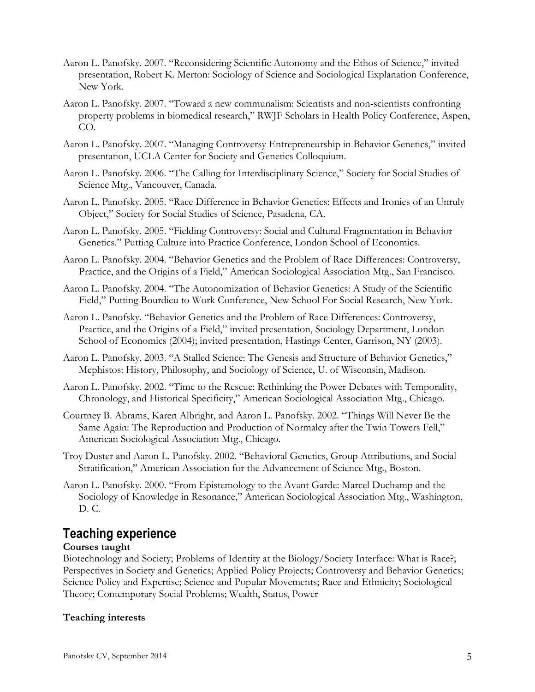- Aaron L. Panofsky. 2007. "Reconsidering Scientific Autonomy and the Ethos of Science," invited presentation, Robert K. Merton: Sociology of Science and Sociological Explanation Conference, New York.
- Aaron L. Panofsky. 2007. "Toward a new communalism: Scientists and non-scientists confronting property problems in biomedical research," RWJF Scholars in Health Policy Conference, Aspen, CO.
- Aaron L. Panofsky. 2007. "Managing Controversy Entrepreneurship in Behavior Genetics," invited presentation, UCLA Center for Society and Genetics Colloquium.
- Aaron L. Panofsky. 2006. "The Calling for Interdisciplinary Science," Society for Social Studies of Science Mtg., Vancouver, Canada.
- Aaron L. Panofsky. 2005. "Race Difference in Behavior Genetics: Effects and Ironies of an Unruly Object," Society for Social Studies of Science, Pasadena, CA.
- Aaron L. Panofsky. 2005. "Fielding Controversy: Social and Cultural Fragmentation in Behavior Genetics." Putting Culture into Practice Conference, London School of Economics.
- Aaron L. Panofsky. 2004. "Behavior Genetics and the Problem of Race Differences: Controversy, Practice, and the Origins of a Field," American Sociological Association Mtg., San Francisco.
- Aaron L. Panofsky. 2004. "The Autonomization of Behavior Genetics: A Study of the Scientific Field," Putting Bourdieu to Work Conference, New School For Social Research, New York.
- Aaron L. Panofsky. "Behavior Genetics and the Problem of Race Differences: Controversy, Practice, and the Origins of a Field," invited presentation, Sociology Department, London School of Economics (2004); invited presentation, Hastings Center, Garrison, NY (2003).
- Aaron L. Panofsky. 2003. "A Stalled Science: The Genesis and Structure of Behavior Genetics," Mephistos: History, Philosophy, and Sociology of Science, U. of Wisconsin, Madison.
- Aaron L. Panofsky. 2002. "Time to the Rescue: Rethinking the Power Debates with Temporality, Chronology, and Historical Specificity," American Sociological Association Mtg., Chicago.
- Courtney B. Abrams, Karen Albright, and Aaron L. Panofsky. 2002. "Things Will Never Be the Same Again: The Reproduction and Production of Normalcy after the Twin Towers Fell," American Sociological Association Mtg., Chicago.
- Troy Duster and Aaron L. Panofsky. 2002. "Behavioral Genetics, Group Attributions, and Social Stratification," American Association for the Advancement of Science Mtg., Boston.
- Aaron L. Panofsky. 2000. "From Epistemology to the Avant Garde: Marcel Duchamp and the Sociology of Knowledge in Resonance," American Sociological Association Mtg., Washington, D. C.

# **Teaching experience**

### **Courses taught**

Biotechnology and Society; Problems of Identity at the Biology/Society Interface: What is Race?; Perspectives in Society and Genetics; Applied Policy Projects; Controversy and Behavior Genetics; Science Policy and Expertise; Science and Popular Movements; Race and Ethnicity; Sociological Theory; Contemporary Social Problems; Wealth, Status, Power

### **Teaching interests**